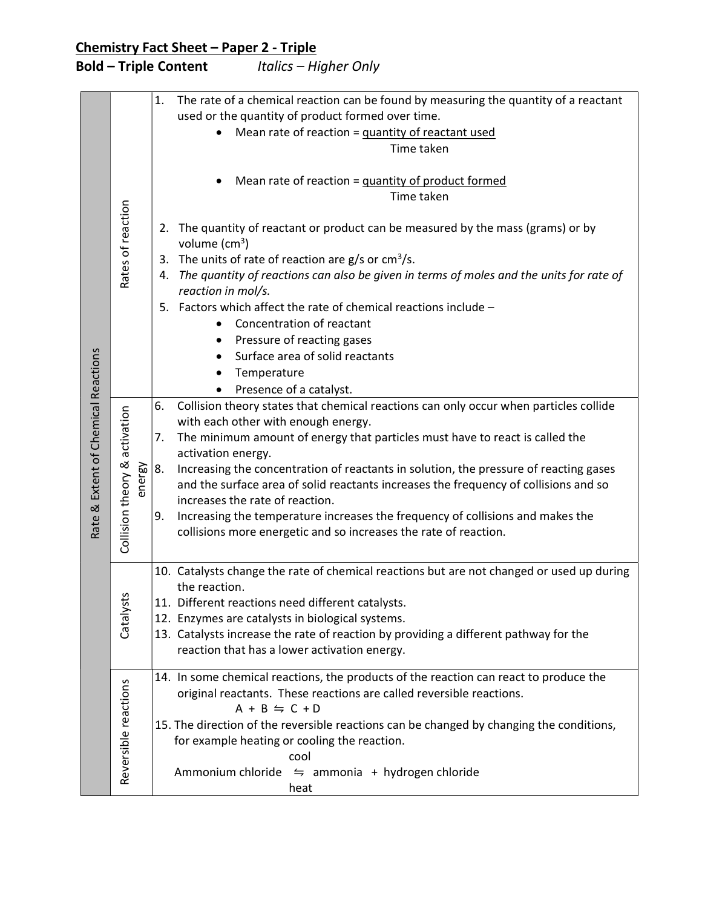## Chemistry Fact Sheet - Paper 2 - Triple

## Bold – Triple Content Italics – Higher Only

| Rate & Extent of Chemical Reactions | Rates of reaction                                           | The rate of a chemical reaction can be found by measuring the quantity of a reactant<br>1.<br>used or the quantity of product formed over time.<br>Mean rate of reaction = quantity of reactant used<br>Time taken<br>Mean rate of reaction = quantity of product formed<br>Time taken<br>2. The quantity of reactant or product can be measured by the mass (grams) or by<br>volume $(cm^3)$<br>3. The units of rate of reaction are $g/s$ or cm <sup>3</sup> /s.<br>4. The quantity of reactions can also be given in terms of moles and the units for rate of<br>reaction in mol/s.<br>5. Factors which affect the rate of chemical reactions include -<br>Concentration of reactant<br>$\bullet$<br>Pressure of reacting gases<br>Surface area of solid reactants<br>Temperature<br>Presence of a catalyst.                                                                                                                                                                                     |
|-------------------------------------|-------------------------------------------------------------|-----------------------------------------------------------------------------------------------------------------------------------------------------------------------------------------------------------------------------------------------------------------------------------------------------------------------------------------------------------------------------------------------------------------------------------------------------------------------------------------------------------------------------------------------------------------------------------------------------------------------------------------------------------------------------------------------------------------------------------------------------------------------------------------------------------------------------------------------------------------------------------------------------------------------------------------------------------------------------------------------------|
|                                     | activation<br>Collision theory &<br>energy<br>Ñ<br>Catalyst | Collision theory states that chemical reactions can only occur when particles collide<br>6.<br>with each other with enough energy.<br>The minimum amount of energy that particles must have to react is called the<br>7.<br>activation energy.<br>8.<br>Increasing the concentration of reactants in solution, the pressure of reacting gases<br>and the surface area of solid reactants increases the frequency of collisions and so<br>increases the rate of reaction.<br>Increasing the temperature increases the frequency of collisions and makes the<br>9.<br>collisions more energetic and so increases the rate of reaction.<br>10. Catalysts change the rate of chemical reactions but are not changed or used up during<br>the reaction.<br>11. Different reactions need different catalysts.<br>12. Enzymes are catalysts in biological systems.<br>13. Catalysts increase the rate of reaction by providing a different pathway for the<br>reaction that has a lower activation energy. |
|                                     | Reversible reactions                                        | 14. In some chemical reactions, the products of the reaction can react to produce the<br>original reactants. These reactions are called reversible reactions.<br>$A + B \leftrightharpoons C + D$<br>15. The direction of the reversible reactions can be changed by changing the conditions,<br>for example heating or cooling the reaction.<br>cool<br>Ammonium chloride $\leq$ ammonia + hydrogen chloride<br>heat                                                                                                                                                                                                                                                                                                                                                                                                                                                                                                                                                                               |